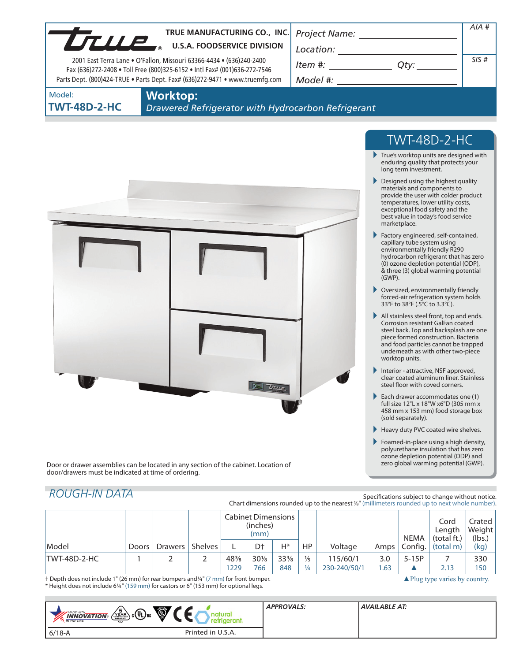|                               | TRUE MANUFACTURING CO., INC.<br>TRUE MANUFACTURING CO., INC                                                                                                                                                                       | Project Name: _________________                                                                                                                                                                                                                                                                                                                                                                                                                 | AIA #                                                                                                                                                                                                                                                                                                                                                                                                                                                                                                                                                                                                                                                                                                                                                                                                                                                                                                                                                                                                                                                                                                                                                                                                                                                                                                                                                             |
|-------------------------------|-----------------------------------------------------------------------------------------------------------------------------------------------------------------------------------------------------------------------------------|-------------------------------------------------------------------------------------------------------------------------------------------------------------------------------------------------------------------------------------------------------------------------------------------------------------------------------------------------------------------------------------------------------------------------------------------------|-------------------------------------------------------------------------------------------------------------------------------------------------------------------------------------------------------------------------------------------------------------------------------------------------------------------------------------------------------------------------------------------------------------------------------------------------------------------------------------------------------------------------------------------------------------------------------------------------------------------------------------------------------------------------------------------------------------------------------------------------------------------------------------------------------------------------------------------------------------------------------------------------------------------------------------------------------------------------------------------------------------------------------------------------------------------------------------------------------------------------------------------------------------------------------------------------------------------------------------------------------------------------------------------------------------------------------------------------------------------|
|                               | 2001 East Terra Lane . O'Fallon, Missouri 63366-4434 . (636)240-2400<br>Fax (636)272-2408 . Toll Free (800)325-6152 . Intl Fax# (001)636-272-7546<br>Parts Dept. (800)424-TRUE . Parts Dept. Fax# (636)272-9471 . www.truemfg.com | $\begin{picture}(20,10) \put(0,0){\vector(1,0){100}} \put(15,0){\vector(1,0){100}} \put(15,0){\vector(1,0){100}} \put(15,0){\vector(1,0){100}} \put(15,0){\vector(1,0){100}} \put(15,0){\vector(1,0){100}} \put(15,0){\vector(1,0){100}} \put(15,0){\vector(1,0){100}} \put(15,0){\vector(1,0){100}} \put(15,0){\vector(1,0){100}} \put(15,0){\vector(1,0){100}} \$<br>$Item #: __________ Qty: __________$<br>Model #: _______________________ | SIS#                                                                                                                                                                                                                                                                                                                                                                                                                                                                                                                                                                                                                                                                                                                                                                                                                                                                                                                                                                                                                                                                                                                                                                                                                                                                                                                                                              |
| Model:<br><b>TWT-48D-2-HC</b> | <b>Worktop:</b><br>Drawered Refrigerator with Hydrocarbon Refrigerant                                                                                                                                                             |                                                                                                                                                                                                                                                                                                                                                                                                                                                 |                                                                                                                                                                                                                                                                                                                                                                                                                                                                                                                                                                                                                                                                                                                                                                                                                                                                                                                                                                                                                                                                                                                                                                                                                                                                                                                                                                   |
|                               |                                                                                                                                                                                                                                   |                                                                                                                                                                                                                                                                                                                                                                                                                                                 | <b>TWT-48D-2-HC</b>                                                                                                                                                                                                                                                                                                                                                                                                                                                                                                                                                                                                                                                                                                                                                                                                                                                                                                                                                                                                                                                                                                                                                                                                                                                                                                                                               |
|                               | TRUP                                                                                                                                                                                                                              | marketplace.<br>$(GWP)$ .<br>worktop units.<br>(sold separately).                                                                                                                                                                                                                                                                                                                                                                               | $\blacktriangleright$ True's worktop units are designed with<br>enduring quality that protects your<br>long term investment.<br>Designed using the highest quality<br>materials and components to<br>provide the user with colder product<br>temperatures, lower utility costs,<br>exceptional food safety and the<br>best value in today's food service<br>Factory engineered, self-contained,<br>capillary tube system using<br>environmentally friendly R290<br>hydrocarbon refrigerant that has zero<br>(0) ozone depletion potential (ODP),<br>& three (3) global warming potential<br>▶ Oversized, environmentally friendly<br>forced-air refrigeration system holds<br>33°F to 38°F (.5°C to 3.3°C).<br>All stainless steel front, top and ends.<br>Corrosion resistant GalFan coated<br>steel back. Top and backsplash are one<br>piece formed construction. Bacteria<br>and food particles cannot be trapped<br>underneath as with other two-piece<br>Interior - attractive, NSF approved,<br>clear coated aluminum liner. Stainless<br>steel floor with coved corners.<br>Each drawer accommodates one (1)<br>full size 12"L x 18"W x6"D (305 mm x<br>458 mm x 153 mm) food storage box<br>Heavy duty PVC coated wire shelves.<br>Foamed-in-place using a high density,<br>polyurethane insulation that has zero<br>ozone depletion potential (ODP) and |
|                               | Door or drawer assemblies can be located in any section of the cabinet. Location of<br>door/drawers must be indicated at time of ordering.                                                                                        |                                                                                                                                                                                                                                                                                                                                                                                                                                                 | zero global warming potential (GWP).                                                                                                                                                                                                                                                                                                                                                                                                                                                                                                                                                                                                                                                                                                                                                                                                                                                                                                                                                                                                                                                                                                                                                                                                                                                                                                                              |

|                                                                                        |       |         |                | <b>Cabinet Dimensions</b><br>(inches)<br>(mm) |        |                 |                                          |              | <b>NEMA</b> | Cord<br>Lenath<br>(total ft.) | Crated<br>Weight<br>(lbs.) |      |
|----------------------------------------------------------------------------------------|-------|---------|----------------|-----------------------------------------------|--------|-----------------|------------------------------------------|--------------|-------------|-------------------------------|----------------------------|------|
| Model                                                                                  | Doors | Drawers | <b>Shelves</b> |                                               | D†     | Н*              | HP                                       | Voltage      | Amps        | Config.                       | (total m)                  | (kg) |
| TWT-48D-2-HC                                                                           |       |         |                | $48\frac{3}{8}$                               | $30\%$ | $33\frac{3}{8}$ | $\frac{1}{5}$                            | 115/60/1     | 3.0         | $5-15P$                       |                            | 330  |
|                                                                                        |       |         |                | 1229                                          | 766    | 848             | $\frac{1}{4}$                            | 230-240/50/1 | .63         |                               | 2.13                       | 150  |
| + Depth does not include 1" (26 mm) for rear bumpers and 1/4" (7 mm) for front bumper. |       |         |                |                                               |        |                 | $\triangle$ Plug type varies by country. |              |             |                               |                            |      |

† Depth does not include 1" (26 mm) for rear bumpers and1/4" (7 mm) for front bumper. \* Height does not include 61/4" (159 mm) for castors or 6" (153 mm) for optional legs.

| Ö,<br>$\left(\frac{5}{4\text{ EAR}}\right)$ $\left(\frac{1}{4}\right)$ us<br><b>MADE WITH_</b><br><b>INNOVATION</b><br><b>M</b> THE USA<br><b>USA</b> | <b>APPROVALS:</b> | AVAILABLE AT: |
|-------------------------------------------------------------------------------------------------------------------------------------------------------|-------------------|---------------|
| Printed in U.S.A.<br>$6/18 - A$                                                                                                                       |                   |               |